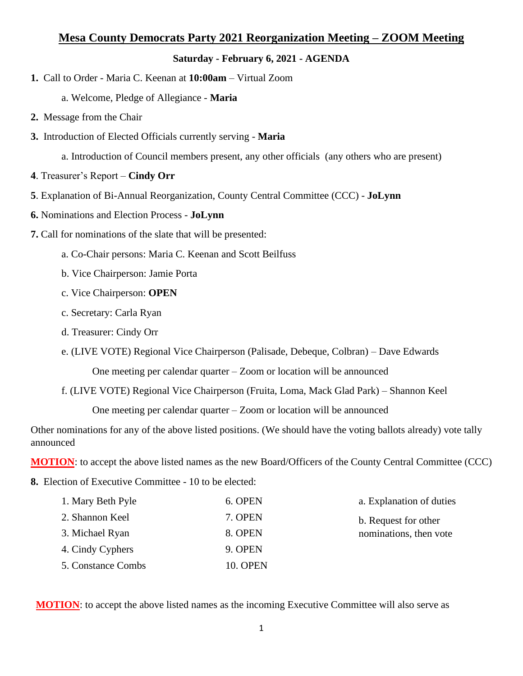## **Mesa County Democrats Party 2021 Reorganization Meeting – ZOOM Meeting**

## **Saturday - February 6, 2021 - AGENDA**

**1.** Call to Order - Maria C. Keenan at **10:00am** – Virtual Zoom

a. Welcome, Pledge of Allegiance - **Maria**

- **2.** Message from the Chair
- **3.** Introduction of Elected Officials currently serving **Maria** 
	- a. Introduction of Council members present, any other officials (any others who are present)
- **4**. Treasurer's Report **Cindy Orr**
- **5**. Explanation of Bi-Annual Reorganization, County Central Committee (CCC) **JoLynn**
- **6.** Nominations and Election Process **JoLynn**
- **7.** Call for nominations of the slate that will be presented:
	- a. Co-Chair persons: Maria C. Keenan and Scott Beilfuss
	- b. Vice Chairperson: Jamie Porta
	- c. Vice Chairperson: **OPEN**
	- c. Secretary: Carla Ryan
	- d. Treasurer: Cindy Orr
	- e. (LIVE VOTE) Regional Vice Chairperson (Palisade, Debeque, Colbran) Dave Edwards

One meeting per calendar quarter – Zoom or location will be announced

f. (LIVE VOTE) Regional Vice Chairperson (Fruita, Loma, Mack Glad Park) – Shannon Keel

One meeting per calendar quarter – Zoom or location will be announced

Other nominations for any of the above listed positions. (We should have the voting ballots already) vote tally announced

**MOTION**: to accept the above listed names as the new Board/Officers of the County Central Committee (CCC)

**8.** Election of Executive Committee - 10 to be elected:

| 1. Mary Beth Pyle | 6. OPEN | a. Explanation of duties                       |
|-------------------|---------|------------------------------------------------|
| 2. Shannon Keel   | 7. OPEN | b. Request for other<br>nominations, then vote |
| 3. Michael Ryan   | 8. OPEN |                                                |
| 4. Cindy Cyphers  | 9. OPEN |                                                |
| 5 Constance Combs | 10 OPEN |                                                |

**MOTION**: to accept the above listed names as the incoming Executive Committee will also serve as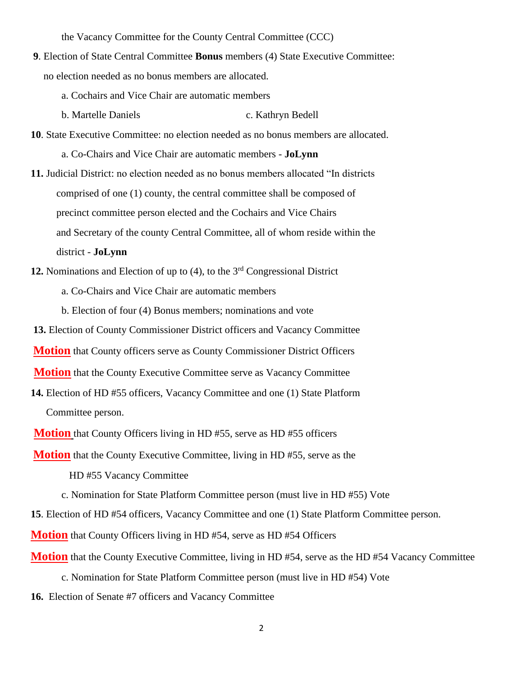the Vacancy Committee for the County Central Committee (CCC)

- **9**. Election of State Central Committee **Bonus** members (4) State Executive Committee: no election needed as no bonus members are allocated.
	- a. Cochairs and Vice Chair are automatic members
	- b. Martelle Daniels c. Kathryn Bedell
- **10**. State Executive Committee: no election needed as no bonus members are allocated. a. Co-Chairs and Vice Chair are automatic members - **JoLynn**
- **11.** Judicial District: no election needed as no bonus members allocated "In districts comprised of one (1) county, the central committee shall be composed of precinct committee person elected and the Cochairs and Vice Chairs and Secretary of the county Central Committee, all of whom reside within the district - **JoLynn**
- **12.** Nominations and Election of up to (4), to the 3rd Congressional District
	- a. Co-Chairs and Vice Chair are automatic members
	- b. Election of four (4) Bonus members; nominations and vote
- **13.** Election of County Commissioner District officers and Vacancy Committee
- **Motion** that County officers serve as County Commissioner District Officers
- **Motion** that the County Executive Committee serve as Vacancy Committee
- **14.** Election of HD #55 officers, Vacancy Committee and one (1) State Platform Committee person.
- **Motion** that County Officers living in HD #55, serve as HD #55 officers
- **Motion** that the County Executive Committee, living in HD #55, serve as the
	- HD #55 Vacancy Committee
	- c. Nomination for State Platform Committee person (must live in HD #55) Vote
- **15**. Election of HD #54 officers, Vacancy Committee and one (1) State Platform Committee person.
- **Motion** that County Officers living in HD #54, serve as HD #54 Officers
- **Motion** that the County Executive Committee, living in HD #54, serve as the HD #54 Vacancy Committee
	- c. Nomination for State Platform Committee person (must live in HD #54) Vote
- **16.** Election of Senate #7 officers and Vacancy Committee